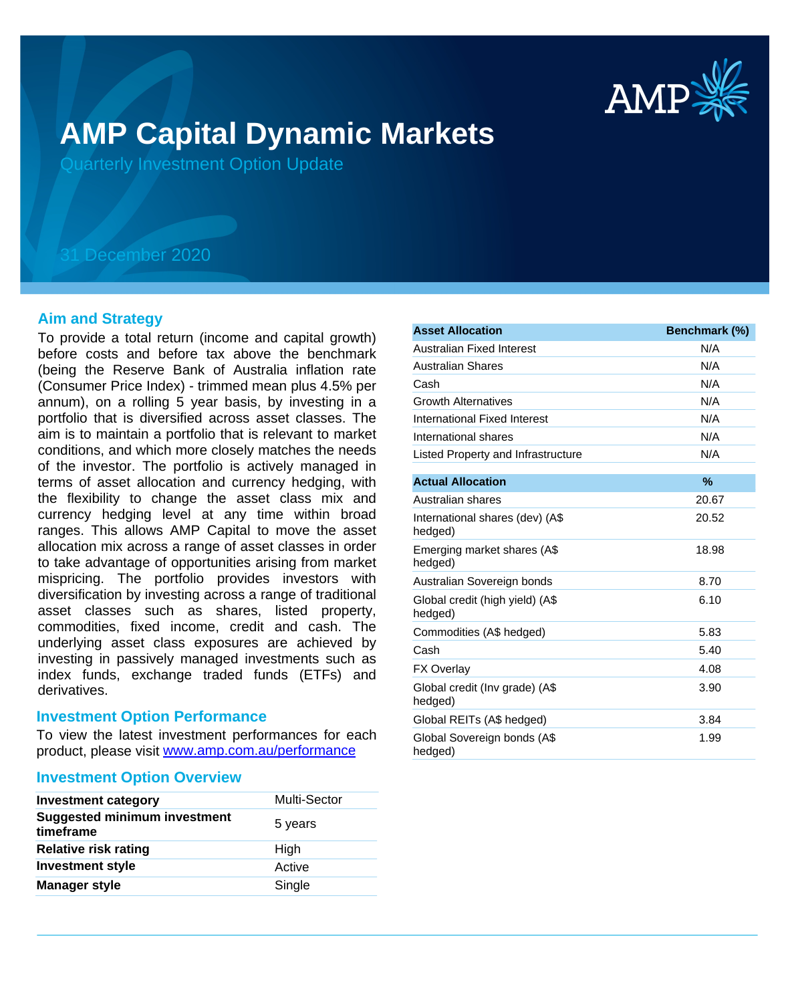

# **AMP Capital Dynamic Markets**

Quarterly Investment Option Update

## 31 December 2020

#### **Aim and Strategy**

To provide a total return (income and capital growth) before costs and before tax above the benchmark (being the Reserve Bank of Australia inflation rate (Consumer Price Index) - trimmed mean plus 4.5% per annum), on a rolling 5 year basis, by investing in a portfolio that is diversified across asset classes. The aim is to maintain a portfolio that is relevant to market conditions, and which more closely matches the needs of the investor. The portfolio is actively managed in terms of asset allocation and currency hedging, with the flexibility to change the asset class mix and currency hedging level at any time within broad ranges. This allows AMP Capital to move the asset allocation mix across a range of asset classes in order to take advantage of opportunities arising from market mispricing. The portfolio provides investors with diversification by investing across a range of traditional asset classes such as shares, listed property, commodities, fixed income, credit and cash. The underlying asset class exposures are achieved by investing in passively managed investments such as index funds, exchange traded funds (ETFs) and derivatives.

#### **Investment Option Performance**

product, please visit www.amp.com.au/performance To view the latest investment performances for each

#### **Investment Option Overview**

| <b>Investment category</b>                       | Multi-Sector |
|--------------------------------------------------|--------------|
| <b>Suggested minimum investment</b><br>timeframe | 5 years      |
| <b>Relative risk rating</b>                      | High         |
| <b>Investment style</b>                          | Active       |
| <b>Manager style</b>                             | Single       |

| <b>Asset Allocation</b>                    | Benchmark (%) |
|--------------------------------------------|---------------|
| Australian Fixed Interest                  | N/A           |
| <b>Australian Shares</b>                   | N/A           |
| Cash                                       | N/A           |
| <b>Growth Alternatives</b>                 | N/A           |
| International Fixed Interest               | N/A           |
| International shares                       | N/A           |
| Listed Property and Infrastructure         | N/A           |
| <b>Actual Allocation</b>                   | $\%$          |
| Australian shares                          | 20.67         |
| International shares (dev) (A\$<br>hedged) | 20.52         |
| Emerging market shares (A\$<br>hedged)     | 18.98         |
| Australian Sovereign bonds                 | 8.70          |
| Global credit (high yield) (A\$<br>hedged) | 6.10          |
| Commodities (A\$ hedged)                   | 5.83          |
| Cash                                       | 5.40          |
| <b>FX Overlay</b>                          | 4.08          |
| Global credit (Inv grade) (A\$<br>hedged)  | 3.90          |
| Global REITs (A\$ hedged)                  | 3.84          |
| Global Sovereign bonds (A\$<br>hedged)     | 1.99          |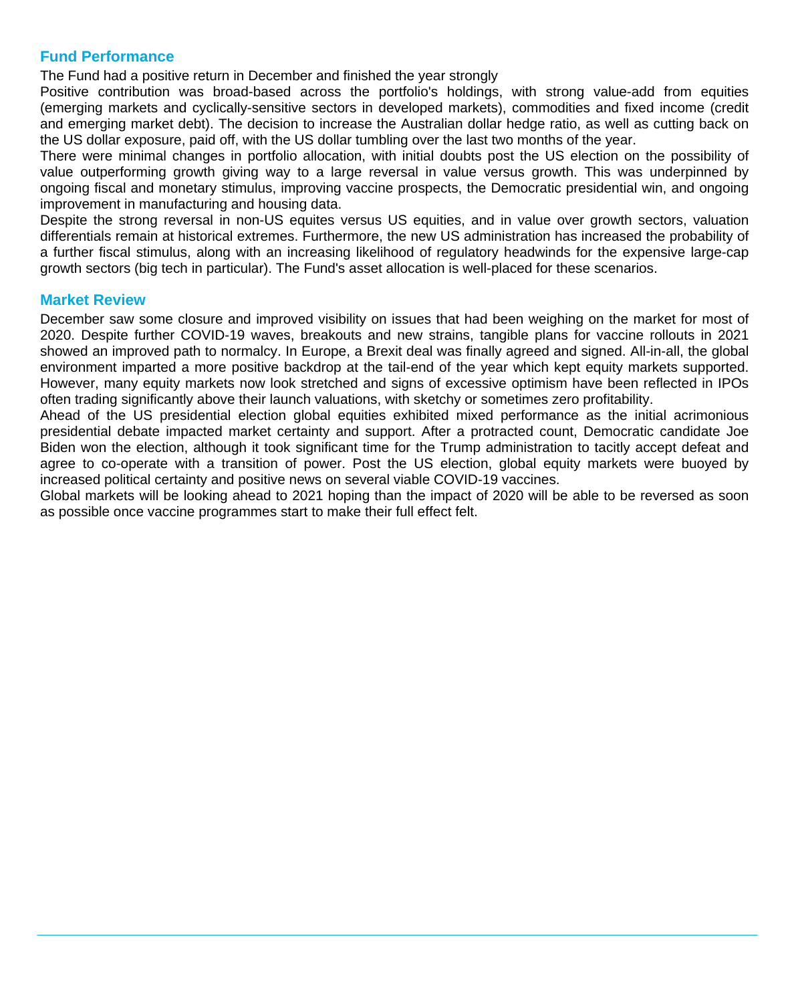### **Fund Performance**

The Fund had a positive return in December and finished the year strongly

Positive contribution was broad-based across the portfolio's holdings, with strong value-add from equities (emerging markets and cyclically-sensitive sectors in developed markets), commodities and fixed income (credit and emerging market debt). The decision to increase the Australian dollar hedge ratio, as well as cutting back on the US dollar exposure, paid off, with the US dollar tumbling over the last two months of the year.

There were minimal changes in portfolio allocation, with initial doubts post the US election on the possibility of value outperforming growth giving way to a large reversal in value versus growth. This was underpinned by ongoing fiscal and monetary stimulus, improving vaccine prospects, the Democratic presidential win, and ongoing improvement in manufacturing and housing data.

Despite the strong reversal in non-US equites versus US equities, and in value over growth sectors, valuation differentials remain at historical extremes. Furthermore, the new US administration has increased the probability of a further fiscal stimulus, along with an increasing likelihood of regulatory headwinds for the expensive large-cap growth sectors (big tech in particular). The Fund's asset allocation is well-placed for these scenarios.

#### **Market Review**

December saw some closure and improved visibility on issues that had been weighing on the market for most of 2020. Despite further COVID-19 waves, breakouts and new strains, tangible plans for vaccine rollouts in 2021 showed an improved path to normalcy. In Europe, a Brexit deal was finally agreed and signed. All-in-all, the global environment imparted a more positive backdrop at the tail-end of the year which kept equity markets supported. However, many equity markets now look stretched and signs of excessive optimism have been reflected in IPOs often trading significantly above their launch valuations, with sketchy or sometimes zero profitability.

Ahead of the US presidential election global equities exhibited mixed performance as the initial acrimonious presidential debate impacted market certainty and support. After a protracted count, Democratic candidate Joe Biden won the election, although it took significant time for the Trump administration to tacitly accept defeat and agree to co-operate with a transition of power. Post the US election, global equity markets were buoyed by increased political certainty and positive news on several viable COVID-19 vaccines.

Global markets will be looking ahead to 2021 hoping than the impact of 2020 will be able to be reversed as soon as possible once vaccine programmes start to make their full effect felt.